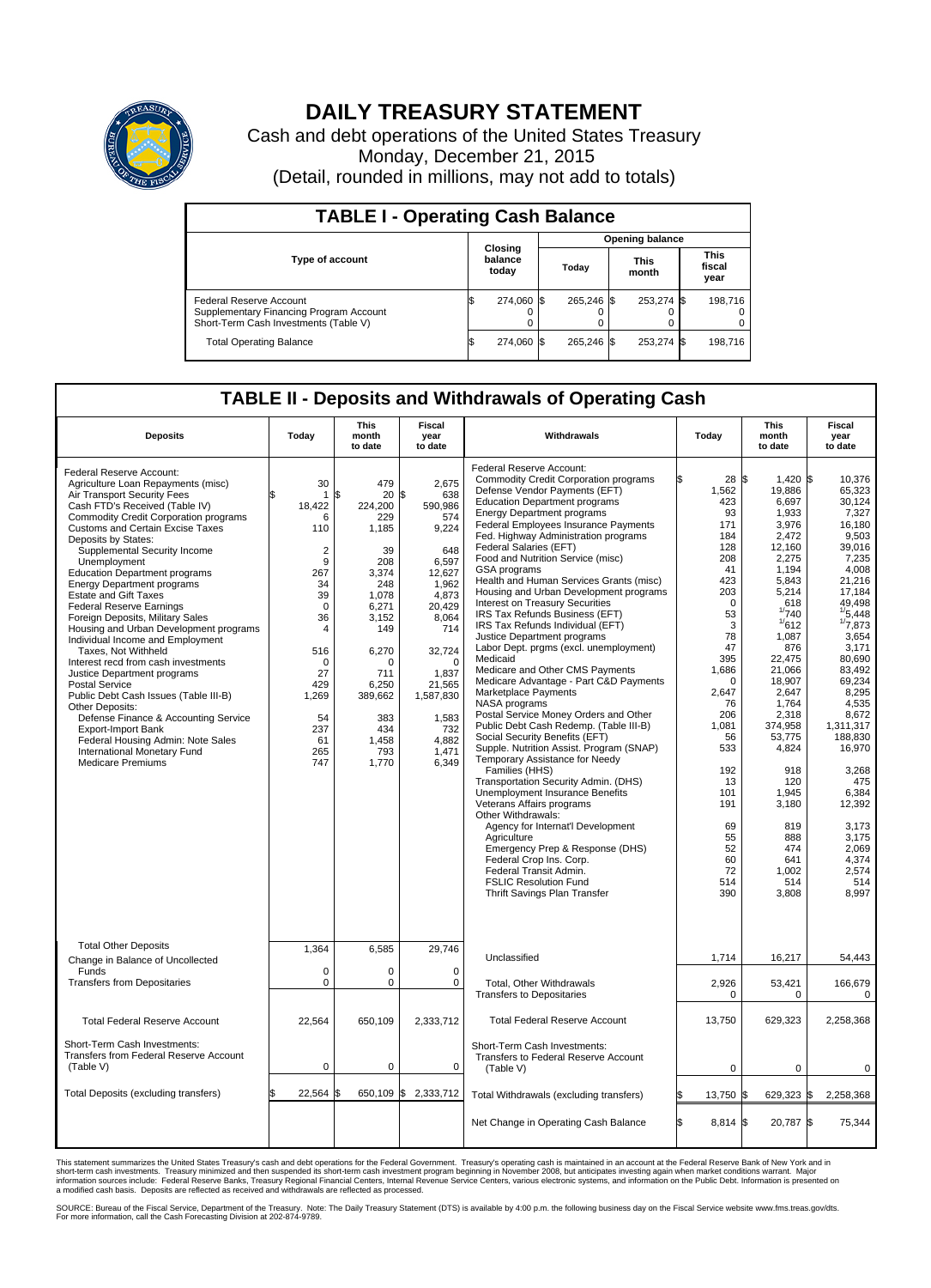

## **DAILY TREASURY STATEMENT**

Cash and debt operations of the United States Treasury Monday, December 21, 2015 (Detail, rounded in millions, may not add to totals)

| <b>TABLE I - Operating Cash Balance</b>                                                                     |  |                             |  |                        |  |                      |  |                               |  |  |  |
|-------------------------------------------------------------------------------------------------------------|--|-----------------------------|--|------------------------|--|----------------------|--|-------------------------------|--|--|--|
|                                                                                                             |  |                             |  | <b>Opening balance</b> |  |                      |  |                               |  |  |  |
| <b>Type of account</b>                                                                                      |  | Closing<br>balance<br>today |  | Todav                  |  | <b>This</b><br>month |  | <b>This</b><br>fiscal<br>year |  |  |  |
| Federal Reserve Account<br>Supplementary Financing Program Account<br>Short-Term Cash Investments (Table V) |  | 274.060 \$                  |  | 265.246 \$             |  | 253,274 \$           |  | 198,716                       |  |  |  |
| <b>Total Operating Balance</b>                                                                              |  | 274,060 \$                  |  | 265,246 \$             |  | 253,274 \$           |  | 198,716                       |  |  |  |

## **TABLE II - Deposits and Withdrawals of Operating Cash**

| <b>Deposits</b>                                                                                                                                                                                                                                                                                                                                                                                                                                                                                                                                                                                                                                                                                                                                                                                                                                                                                                     | Today                                                                                                                                                                                                  | <b>This</b><br>month<br>to date                                                                                                                                                                  | <b>Fiscal</b><br>year<br>to date                                                                                                                                                                                     | Withdrawals                                                                                                                                                                                                                                                                                                                                                                                                                                                                                                                                                                                                                                                                                                                                                                                                                                                                                                                                                                                                                                                                                                                                                                                                                                                                                                                          | Today                                                                                                                                                                                                                                                         | <b>This</b><br>month<br>to date                                                                                                                                                                                                                                                                                           | Fiscal<br>year<br>to date                                                                                                                                                                                                                                                                                                                                      |
|---------------------------------------------------------------------------------------------------------------------------------------------------------------------------------------------------------------------------------------------------------------------------------------------------------------------------------------------------------------------------------------------------------------------------------------------------------------------------------------------------------------------------------------------------------------------------------------------------------------------------------------------------------------------------------------------------------------------------------------------------------------------------------------------------------------------------------------------------------------------------------------------------------------------|--------------------------------------------------------------------------------------------------------------------------------------------------------------------------------------------------------|--------------------------------------------------------------------------------------------------------------------------------------------------------------------------------------------------|----------------------------------------------------------------------------------------------------------------------------------------------------------------------------------------------------------------------|--------------------------------------------------------------------------------------------------------------------------------------------------------------------------------------------------------------------------------------------------------------------------------------------------------------------------------------------------------------------------------------------------------------------------------------------------------------------------------------------------------------------------------------------------------------------------------------------------------------------------------------------------------------------------------------------------------------------------------------------------------------------------------------------------------------------------------------------------------------------------------------------------------------------------------------------------------------------------------------------------------------------------------------------------------------------------------------------------------------------------------------------------------------------------------------------------------------------------------------------------------------------------------------------------------------------------------------|---------------------------------------------------------------------------------------------------------------------------------------------------------------------------------------------------------------------------------------------------------------|---------------------------------------------------------------------------------------------------------------------------------------------------------------------------------------------------------------------------------------------------------------------------------------------------------------------------|----------------------------------------------------------------------------------------------------------------------------------------------------------------------------------------------------------------------------------------------------------------------------------------------------------------------------------------------------------------|
| Federal Reserve Account:<br>Agriculture Loan Repayments (misc)<br>Air Transport Security Fees<br>Cash FTD's Received (Table IV)<br><b>Commodity Credit Corporation programs</b><br>Customs and Certain Excise Taxes<br>Deposits by States:<br>Supplemental Security Income<br>Unemployment<br><b>Education Department programs</b><br><b>Energy Department programs</b><br><b>Estate and Gift Taxes</b><br><b>Federal Reserve Earnings</b><br>Foreign Deposits, Military Sales<br>Housing and Urban Development programs<br>Individual Income and Employment<br>Taxes, Not Withheld<br>Interest recd from cash investments<br>Justice Department programs<br><b>Postal Service</b><br>Public Debt Cash Issues (Table III-B)<br>Other Deposits:<br>Defense Finance & Accounting Service<br><b>Export-Import Bank</b><br>Federal Housing Admin: Note Sales<br>International Monetary Fund<br><b>Medicare Premiums</b> | 30<br>$\mathbf{1}$<br>18,422<br>6<br>110<br>$\overline{2}$<br>9<br>267<br>34<br>39<br>$\mathbf 0$<br>36<br>$\overline{4}$<br>516<br>$\mathbf 0$<br>27<br>429<br>1,269<br>54<br>237<br>61<br>265<br>747 | 479<br>20<br>\$<br>224,200<br>229<br>1,185<br>39<br>208<br>3,374<br>248<br>1.078<br>6,271<br>3,152<br>149<br>6,270<br>$\Omega$<br>711<br>6,250<br>389,662<br>383<br>434<br>1,458<br>793<br>1,770 | 2,675<br>\$<br>638<br>590,986<br>574<br>9,224<br>648<br>6,597<br>12,627<br>1,962<br>4,873<br>20,429<br>8,064<br>714<br>32,724<br>$\Omega$<br>1,837<br>21,565<br>1,587,830<br>1,583<br>732<br>4.882<br>1,471<br>6,349 | Federal Reserve Account:<br><b>Commodity Credit Corporation programs</b><br>Defense Vendor Payments (EFT)<br><b>Education Department programs</b><br><b>Energy Department programs</b><br><b>Federal Employees Insurance Payments</b><br>Fed. Highway Administration programs<br>Federal Salaries (EFT)<br>Food and Nutrition Service (misc)<br>GSA programs<br>Health and Human Services Grants (misc)<br>Housing and Urban Development programs<br>Interest on Treasury Securities<br>IRS Tax Refunds Business (EFT)<br>IRS Tax Refunds Individual (EFT)<br>Justice Department programs<br>Labor Dept. prgms (excl. unemployment)<br>Medicaid<br>Medicare and Other CMS Payments<br>Medicare Advantage - Part C&D Payments<br>Marketplace Payments<br>NASA programs<br>Postal Service Money Orders and Other<br>Public Debt Cash Redemp. (Table III-B)<br>Social Security Benefits (EFT)<br>Supple. Nutrition Assist. Program (SNAP)<br>Temporary Assistance for Needy<br>Families (HHS)<br>Transportation Security Admin. (DHS)<br>Unemployment Insurance Benefits<br>Veterans Affairs programs<br>Other Withdrawals:<br>Agency for Internat'l Development<br>Agriculture<br>Emergency Prep & Response (DHS)<br>Federal Crop Ins. Corp.<br>Federal Transit Admin.<br><b>FSLIC Resolution Fund</b><br>Thrift Savings Plan Transfer | 28 \$<br>1,562<br>423<br>93<br>171<br>184<br>128<br>208<br>41<br>423<br>203<br>$\Omega$<br>53<br>3<br>78<br>47<br>395<br>1,686<br>$\Omega$<br>2,647<br>76<br>206<br>1,081<br>56<br>533<br>192<br>13<br>101<br>191<br>69<br>55<br>52<br>60<br>72<br>514<br>390 | 1,420 \$<br>19,886<br>6,697<br>1,933<br>3.976<br>2,472<br>12,160<br>2,275<br>1.194<br>5,843<br>5,214<br>618<br>1/740<br>1/612<br>1.087<br>876<br>22,475<br>21,066<br>18.907<br>2,647<br>1,764<br>2,318<br>374,958<br>53,775<br>4,824<br>918<br>120<br>1,945<br>3,180<br>819<br>888<br>474<br>641<br>1.002<br>514<br>3,808 | 10.376<br>65,323<br>30,124<br>7,327<br>16.180<br>9,503<br>39.016<br>7,235<br>4,008<br>21,216<br>17,184<br>49.498<br>$\frac{1}{5}$ ,448<br>1/7,873<br>3,654<br>3,171<br>80,690<br>83.492<br>69.234<br>8,295<br>4.535<br>8,672<br>1,311,317<br>188,830<br>16,970<br>3,268<br>475<br>6,384<br>12,392<br>3.173<br>3,175<br>2,069<br>4,374<br>2,574<br>514<br>8,997 |
| <b>Total Other Deposits</b><br>Change in Balance of Uncollected<br>Funds<br><b>Transfers from Depositaries</b>                                                                                                                                                                                                                                                                                                                                                                                                                                                                                                                                                                                                                                                                                                                                                                                                      | 1,364<br>$\mathbf 0$<br>$\pmb{0}$                                                                                                                                                                      | 6,585<br>0<br>0                                                                                                                                                                                  | 29,746<br>0<br>$\mathbf 0$                                                                                                                                                                                           | Unclassified                                                                                                                                                                                                                                                                                                                                                                                                                                                                                                                                                                                                                                                                                                                                                                                                                                                                                                                                                                                                                                                                                                                                                                                                                                                                                                                         | 1,714                                                                                                                                                                                                                                                         | 16,217                                                                                                                                                                                                                                                                                                                    | 54,443                                                                                                                                                                                                                                                                                                                                                         |
|                                                                                                                                                                                                                                                                                                                                                                                                                                                                                                                                                                                                                                                                                                                                                                                                                                                                                                                     |                                                                                                                                                                                                        |                                                                                                                                                                                                  |                                                                                                                                                                                                                      | <b>Total, Other Withdrawals</b><br><b>Transfers to Depositaries</b>                                                                                                                                                                                                                                                                                                                                                                                                                                                                                                                                                                                                                                                                                                                                                                                                                                                                                                                                                                                                                                                                                                                                                                                                                                                                  | 2,926<br>0                                                                                                                                                                                                                                                    | 53,421<br>0                                                                                                                                                                                                                                                                                                               | 166,679<br>0                                                                                                                                                                                                                                                                                                                                                   |
| <b>Total Federal Reserve Account</b>                                                                                                                                                                                                                                                                                                                                                                                                                                                                                                                                                                                                                                                                                                                                                                                                                                                                                | 22,564                                                                                                                                                                                                 | 650,109                                                                                                                                                                                          | 2,333,712                                                                                                                                                                                                            | <b>Total Federal Reserve Account</b>                                                                                                                                                                                                                                                                                                                                                                                                                                                                                                                                                                                                                                                                                                                                                                                                                                                                                                                                                                                                                                                                                                                                                                                                                                                                                                 | 13,750                                                                                                                                                                                                                                                        | 629,323                                                                                                                                                                                                                                                                                                                   | 2,258,368                                                                                                                                                                                                                                                                                                                                                      |
| Short-Term Cash Investments:<br>Transfers from Federal Reserve Account<br>(Table V)                                                                                                                                                                                                                                                                                                                                                                                                                                                                                                                                                                                                                                                                                                                                                                                                                                 | $\pmb{0}$                                                                                                                                                                                              | 0                                                                                                                                                                                                | 0                                                                                                                                                                                                                    | Short-Term Cash Investments:<br>Transfers to Federal Reserve Account<br>(Table V)                                                                                                                                                                                                                                                                                                                                                                                                                                                                                                                                                                                                                                                                                                                                                                                                                                                                                                                                                                                                                                                                                                                                                                                                                                                    | $\mathbf 0$                                                                                                                                                                                                                                                   | 0                                                                                                                                                                                                                                                                                                                         | 0                                                                                                                                                                                                                                                                                                                                                              |
| Total Deposits (excluding transfers)                                                                                                                                                                                                                                                                                                                                                                                                                                                                                                                                                                                                                                                                                                                                                                                                                                                                                | 22,564                                                                                                                                                                                                 | \$                                                                                                                                                                                               | 650,109 \$ 2,333,712                                                                                                                                                                                                 | Total Withdrawals (excluding transfers)                                                                                                                                                                                                                                                                                                                                                                                                                                                                                                                                                                                                                                                                                                                                                                                                                                                                                                                                                                                                                                                                                                                                                                                                                                                                                              | 13,750 \$<br>ß.                                                                                                                                                                                                                                               | 629,323 \$                                                                                                                                                                                                                                                                                                                | 2,258,368                                                                                                                                                                                                                                                                                                                                                      |
|                                                                                                                                                                                                                                                                                                                                                                                                                                                                                                                                                                                                                                                                                                                                                                                                                                                                                                                     |                                                                                                                                                                                                        |                                                                                                                                                                                                  |                                                                                                                                                                                                                      | Net Change in Operating Cash Balance                                                                                                                                                                                                                                                                                                                                                                                                                                                                                                                                                                                                                                                                                                                                                                                                                                                                                                                                                                                                                                                                                                                                                                                                                                                                                                 | Ŝ.<br>8,814 \$                                                                                                                                                                                                                                                | 20,787 \$                                                                                                                                                                                                                                                                                                                 | 75,344                                                                                                                                                                                                                                                                                                                                                         |

This statement summarizes the United States Treasury's cash and debt operations for the Federal Government. Treasury's operating cash is maintained in an account at the Federal Reserve Bank of New York and in<br>short-term ca

SOURCE: Bureau of the Fiscal Service, Department of the Treasury. Note: The Daily Treasury Statement (DTS) is available by 4:00 p.m. the following business day on the Fiscal Service website www.fms.treas.gov/dts.<br>For more